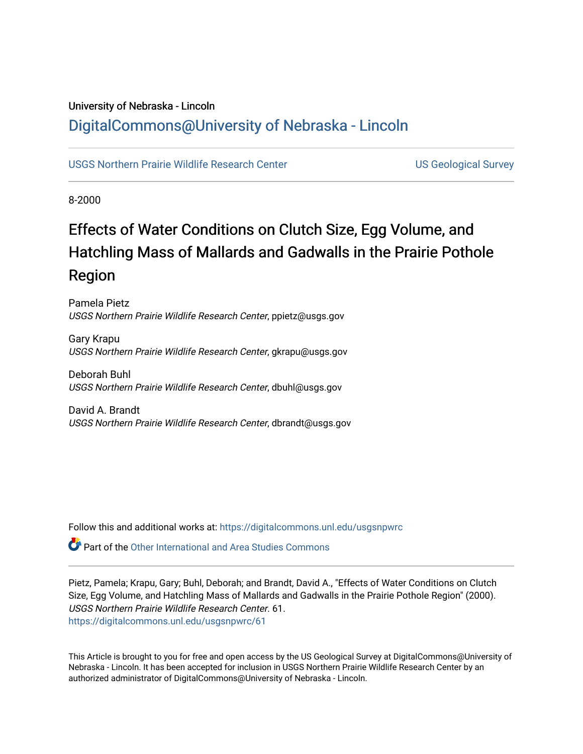# University of Nebraska - Lincoln [DigitalCommons@University of Nebraska - Lincoln](https://digitalcommons.unl.edu/)

# [USGS Northern Prairie Wildlife Research Center](https://digitalcommons.unl.edu/usgsnpwrc) **Network Contract Center** US Geological Survey

8-2000

# Effects of Water Conditions on Clutch Size, Egg Volume, and Hatchling Mass of Mallards and Gadwalls in the Prairie Pothole Region

Pamela Pietz USGS Northern Prairie Wildlife Research Center, ppietz@usgs.gov

Gary Krapu USGS Northern Prairie Wildlife Research Center, gkrapu@usgs.gov

Deborah Buhl USGS Northern Prairie Wildlife Research Center, dbuhl@usgs.gov

David A. Brandt USGS Northern Prairie Wildlife Research Center, dbrandt@usgs.gov

Follow this and additional works at: [https://digitalcommons.unl.edu/usgsnpwrc](https://digitalcommons.unl.edu/usgsnpwrc?utm_source=digitalcommons.unl.edu%2Fusgsnpwrc%2F61&utm_medium=PDF&utm_campaign=PDFCoverPages)

 $\bullet$  Part of the [Other International and Area Studies Commons](http://network.bepress.com/hgg/discipline/365?utm_source=digitalcommons.unl.edu%2Fusgsnpwrc%2F61&utm_medium=PDF&utm_campaign=PDFCoverPages)

Pietz, Pamela; Krapu, Gary; Buhl, Deborah; and Brandt, David A., "Effects of Water Conditions on Clutch Size, Egg Volume, and Hatchling Mass of Mallards and Gadwalls in the Prairie Pothole Region" (2000). USGS Northern Prairie Wildlife Research Center. 61. [https://digitalcommons.unl.edu/usgsnpwrc/61](https://digitalcommons.unl.edu/usgsnpwrc/61?utm_source=digitalcommons.unl.edu%2Fusgsnpwrc%2F61&utm_medium=PDF&utm_campaign=PDFCoverPages) 

This Article is brought to you for free and open access by the US Geological Survey at DigitalCommons@University of Nebraska - Lincoln. It has been accepted for inclusion in USGS Northern Prairie Wildlife Research Center by an authorized administrator of DigitalCommons@University of Nebraska - Lincoln.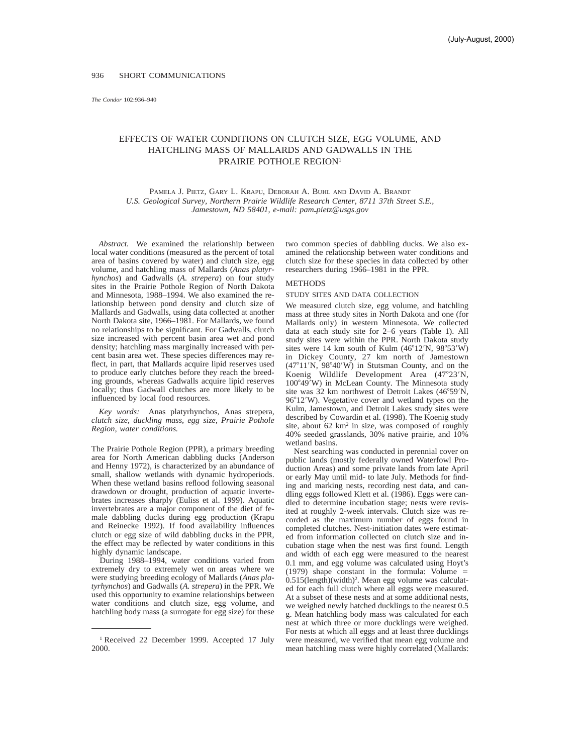*The Condor* 102:936-940

## EFFECTS OF WATER CONDITIONS ON CLUTCH SIZE, EGG VOLUME, AND HATCHLING MASS OF MALLARDS AND GADWALLS IN THE PRAIRIE POTHOLE REGION<sup>1</sup>

PAMELA J. PIETZ, GARY L. KRAPU, DEBORAH A. BUHL AND DAVID A. BRANDT *U.S. Geological Survey, Northern Prairie Wildlife Research Center, 8711 37th Street S.E., Jamestown, ND 58401, e-mail: pam\_pietz@usgs.gov* 

*Abstract.* We examined the relationship between local water conditions (measured as the percent of total area of basins covered by water) and clutch size, egg volume, and hatchling mass of Mallards (*Anas platyrhynchos*) and Gadwalls (*A. strepera*) on four study sites in the Prairie Pothole Region of North Dakota and Minnesota, 1988–1994. We also examined the relationship between pond density and clutch size of Mallards and Gadwalls, using data collected at another North Dakota site, 1966–1981. For Mallards, we found no relationships to be significant. For Gadwalls, clutch size increased with percent basin area wet and pond density; hatchling mass marginally increased with percent basin area wet. These species differences may reflect, in part, that Mallards acquire lipid reserves used to produce early clutches before they reach the breeding grounds, whereas Gadwalls acquire lipid reserves locally; thus Gadwall clutches are more likely to be influenced by local food resources.

*Key words:* Anas platyrhynchos, Anas strepera, *clutch size, duckling mass, egg size, Prairie Pothole Region, water conditions.*

The Prairie Pothole Region (PPR), a primary breeding area for North American dabbling ducks (Anderson and Henny 1972), is characterized by an abundance of small, shallow wetlands with dynamic hydroperiods. When these wetland basins reflood following seasonal drawdown or drought, production of aquatic invertebrates increases sharply (Euliss et al. 1999). Aquatic invertebrates are a major component of the diet of female dabbling ducks during egg production (Krapu and Reinecke 1992). If food availability influences clutch or egg size of wild dabbling ducks in the PPR, the effect may be reflected by water conditions in this highly dynamic landscape.

During 1988–1994, water conditions varied from extremely dry to extremely wet on areas where we were studying breeding ecology of Mallards (*Anas platyrhynchos*) and Gadwalls (*A. strepera*) in the PPR. We used this opportunity to examine relationships between water conditions and clutch size, egg volume, and hatchling body mass (a surrogate for egg size) for these

two common species of dabbling ducks. We also examined the relationship between water conditions and clutch size for these species in data collected by other researchers during 1966–1981 in the PPR.

### METHODS

#### STUDY SITES AND DATA COLLECTION

We measured clutch size, egg volume, and hatchling mass at three study sites in North Dakota and one (for Mallards only) in western Minnesota. We collected data at each study site for 2–6 years (Table 1). All study sites were within the PPR. North Dakota study sites were 14 km south of Kulm  $(46^{\circ}12^{\prime}N, 98^{\circ}53^{\prime}W)$ in Dickey County, 27 km north of Jamestown  $(47°11'N, 98°40'W)$  in Stutsman County, and on the Koenig Wildlife Development Area  $(47°23'N,$ 100°49'W) in McLean County. The Minnesota study site was 32 km northwest of Detroit Lakes  $(46^{\circ}59'N,$  $96^{\circ}12'$ W). Vegetative cover and wetland types on the Kulm, Jamestown, and Detroit Lakes study sites were described by Cowardin et al. (1998). The Koenig study site, about  $62 \text{ km}^2$  in size, was composed of roughly 40% seeded grasslands, 30% native prairie, and 10% wetland basins.

Nest searching was conducted in perennial cover on public lands (mostly federally owned Waterfowl Production Areas) and some private lands from late April or early May until mid- to late July. Methods for finding and marking nests, recording nest data, and candling eggs followed Klett et al. (1986). Eggs were candled to determine incubation stage; nests were revisited at roughly 2-week intervals. Clutch size was recorded as the maximum number of eggs found in completed clutches. Nest-initiation dates were estimated from information collected on clutch size and incubation stage when the nest was first found. Length and width of each egg were measured to the nearest 0.1 mm, and egg volume was calculated using Hoyt's (1979) shape constant in the formula: Volume  $=$ 0.515(length)(width)2. Mean egg volume was calculated for each full clutch where all eggs were measured. At a subset of these nests and at some additional nests, we weighed newly hatched ducklings to the nearest 0.5 g. Mean hatchling body mass was calculated for each nest at which three or more ducklings were weighed. For nests at which all eggs and at least three ducklings were measured, we verified that mean egg volume and mean hatchling mass were highly correlated (Mallards:

<sup>&</sup>lt;sup>1</sup> Received 22 December 1999. Accepted 17 July 2000.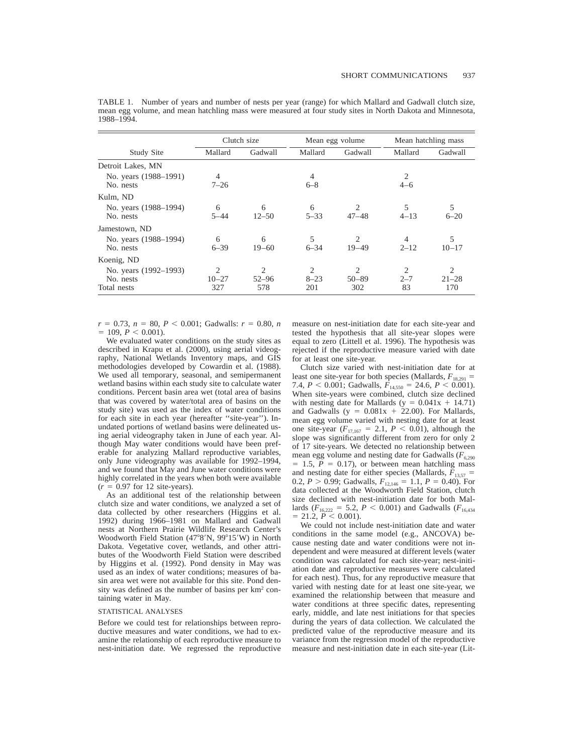|                                                   | Clutch size                |                                    | Mean egg volume                   |                                          | Mean hatchling mass |                       |
|---------------------------------------------------|----------------------------|------------------------------------|-----------------------------------|------------------------------------------|---------------------|-----------------------|
| Study Site                                        | Mallard                    | Gadwall                            | Mallard                           | Gadwall                                  | Mallard             | Gadwall               |
| Detroit Lakes, MN                                 |                            |                                    |                                   |                                          |                     |                       |
| No. years (1988–1991)<br>No. nests                | $\overline{4}$<br>$7 - 26$ |                                    | 4<br>$6 - 8$                      |                                          | $4 - 6$             |                       |
| Kulm, ND                                          |                            |                                    |                                   |                                          |                     |                       |
| No. years (1988–1994)<br>No. nests                | 6<br>$5 - 44$              | 6<br>$12 - 50$                     | 6<br>$5 - 33$                     | $\mathcal{D}_{\mathcal{L}}$<br>$47 - 48$ | 5<br>$4 - 13$       | 5<br>$6 - 20$         |
| Jamestown, ND                                     |                            |                                    |                                   |                                          |                     |                       |
| No. years (1988–1994)<br>No. nests                | 6<br>$6 - 39$              | 6<br>$19 - 60$                     | 5<br>$6 - 34$                     | $\overline{c}$<br>$19 - 49$              | 4<br>$2 - 12$       | 5<br>$10 - 17$        |
| Koenig, ND                                        |                            |                                    |                                   |                                          |                     |                       |
| No. years (1992–1993)<br>No. nests<br>Total nests | $10 - 27$<br>327           | $\overline{c}$<br>$52 - 96$<br>578 | $\overline{c}$<br>$8 - 23$<br>201 | 2<br>$50 - 89$<br>302                    | 2<br>$2 - 7$<br>83  | 2<br>$21 - 28$<br>170 |

TABLE 1. Number of years and number of nests per year (range) for which Mallard and Gadwall clutch size, mean egg volume, and mean hatchling mass were measured at four study sites in North Dakota and Minnesota, 1988–1994.

 $r = 0.73$ ,  $n = 80$ ,  $P < 0.001$ ; Gadwalls:  $r = 0.80$ , *n*  $= 109, P < 0.001$ .

We evaluated water conditions on the study sites as described in Krapu et al. (2000), using aerial videography, National Wetlands Inventory maps, and GIS methodologies developed by Cowardin et al. (1988). We used all temporary, seasonal, and semipermanent wetland basins within each study site to calculate water conditions. Percent basin area wet (total area of basins that was covered by water/total area of basins on the study site) was used as the index of water conditions for each site in each year (hereafter ''site-year''). Inundated portions of wetland basins were delineated using aerial videography taken in June of each year. Although May water conditions would have been preferable for analyzing Mallard reproductive variables, only June videography was available for 1992–1994, and we found that May and June water conditions were highly correlated in the years when both were available  $(r = 0.97$  for 12 site-years).

As an additional test of the relationship between clutch size and water conditions, we analyzed a set of data collected by other researchers (Higgins et al. 1992) during 1966–1981 on Mallard and Gadwall nests at Northern Prairie Wildlife Research Center's Woodworth Field Station (47°8'N, 99°15'W) in North Dakota. Vegetative cover, wetlands, and other attributes of the Woodworth Field Station were described by Higgins et al. (1992). Pond density in May was used as an index of water conditions; measures of basin area wet were not available for this site. Pond density was defined as the number of basins per km2 containing water in May.

#### STATISTICAL ANALYSES

Before we could test for relationships between reproductive measures and water conditions, we had to examine the relationship of each reproductive measure to nest-initiation date. We regressed the reproductive measure on nest-initiation date for each site-year and tested the hypothesis that all site-year slopes were equal to zero (Littell et al. 1996). The hypothesis was rejected if the reproductive measure varied with date for at least one site-year.

Clutch size varied with nest-initiation date for at least one site-year for both species (Mallards,  $F_{18,291}$  = 7.4,  $P < 0.001$ ; Gadwalls,  $F_{14,550} = 24.6$ ,  $P < 0.001$ ). When site-years were combined, clutch size declined with nesting date for Mallards (y =  $0.041x + 14.71$ ) and Gadwalls ( $y = 0.081x + 22.00$ ). For Mallards, mean egg volume varied with nesting date for at least one site-year  $(F_{17,167} = 2.1, P < 0.01)$ , although the slope was significantly different from zero for only 2 of 17 site-years. We detected no relationship between mean egg volume and nesting date for Gadwalls ( $F_{6,290}$ )  $= 1.5$ ,  $P = 0.17$ ), or between mean hatchling mass and nesting date for either species (Mallards,  $F_{13,57}$  = 0.2,  $P > 0.99$ ; Gadwalls,  $F_{12,146} = 1.1$ ,  $P = 0.40$ ). For data collected at the Woodworth Field Station, clutch size declined with nest-initiation date for both Mallards ( $F_{16,222} = 5.2$ ,  $P < 0.001$ ) and Gadwalls ( $F_{16,434}$  $= 21.2, P < 0.001$ ).

We could not include nest-initiation date and water conditions in the same model (e.g., ANCOVA) because nesting date and water conditions were not independent and were measured at different levels (water condition was calculated for each site-year; nest-initiation date and reproductive measures were calculated for each nest). Thus, for any reproductive measure that varied with nesting date for at least one site-year, we examined the relationship between that measure and water conditions at three specific dates, representing early, middle, and late nest initiations for that species during the years of data collection. We calculated the predicted value of the reproductive measure and its variance from the regression model of the reproductive measure and nest-initiation date in each site-year (Lit-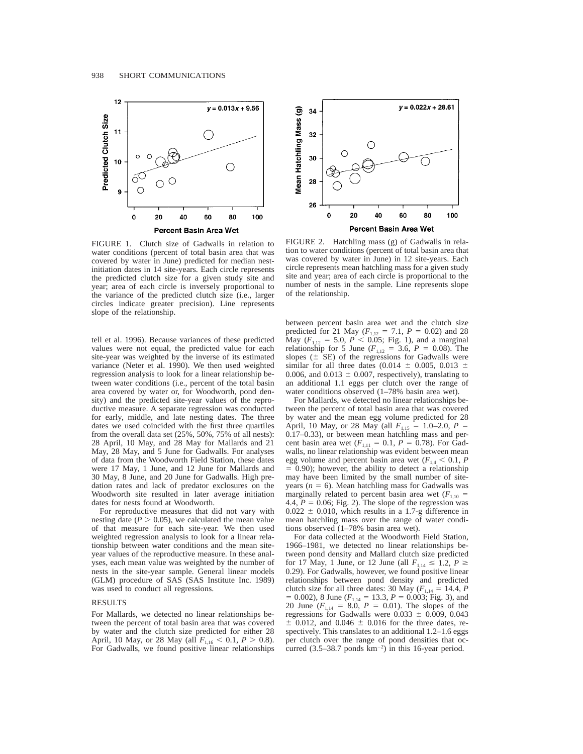

FIGURE 1. Clutch size of Gadwalls in relation to water conditions (percent of total basin area that was covered by water in June) predicted for median nestinitiation dates in 14 site-years. Each circle represents the predicted clutch size for a given study site and year; area of each circle is inversely proportional to the variance of the predicted clutch size (i.e., larger circles indicate greater precision). Line represents slope of the relationship.

tell et al. 1996). Because variances of these predicted values were not equal, the predicted value for each site-year was weighted by the inverse of its estimated variance (Neter et al. 1990). We then used weighted regression analysis to look for a linear relationship between water conditions (i.e., percent of the total basin area covered by water or, for Woodworth, pond density) and the predicted site-year values of the reproductive measure. A separate regression was conducted for early, middle, and late nesting dates. The three dates we used coincided with the first three quartiles from the overall data set (25%, 50%, 75% of all nests): 28 April, 10 May, and 28 May for Mallards and 21 May, 28 May, and 5 June for Gadwalls. For analyses of data from the Woodworth Field Station, these dates were 17 May, 1 June, and 12 June for Mallards and 30 May, 8 June, and 20 June for Gadwalls. High predation rates and lack of predator exclosures on the Woodworth site resulted in later average initiation dates for nests found at Woodworth.

For reproductive measures that did not vary with nesting date  $(P > 0.05)$ , we calculated the mean value of that measure for each site-year. We then used weighted regression analysis to look for a linear relationship between water conditions and the mean siteyear values of the reproductive measure. In these analyses, each mean value was weighted by the number of nests in the site-year sample. General linear models (GLM) procedure of SAS (SAS Institute Inc. 1989) was used to conduct all regressions.

#### RESULTS

For Mallards, we detected no linear relationships between the percent of total basin area that was covered by water and the clutch size predicted for either 28 April, 10 May, or 28 May (all  $F_{1,16} < 0.1, P > 0.8$ ). For Gadwalls, we found positive linear relationships



FIGURE 2. Hatchling mass (g) of Gadwalls in relation to water conditions (percent of total basin area that was covered by water in June) in 12 site-years. Each circle represents mean hatchling mass for a given study site and year; area of each circle is proportional to the number of nests in the sample. Line represents slope of the relationship.

between percent basin area wet and the clutch size predicted for 21 May  $(F_{1,12} = 7.1, P = 0.02)$  and 28 May  $(F_{1,12} = 5.0, P < 0.05$ ; Fig. 1), and a marginal relationship for 5 June ( $F_{1,12} = 3.6$ ,  $P = 0.08$ ). The slopes  $(\pm$  SE) of the regressions for Gadwalls were similar for all three dates (0.014  $\pm$  0.005, 0.013  $\pm$ 0.006, and 0.013  $\pm$  0.007, respectively), translating to an additional 1.1 eggs per clutch over the range of water conditions observed (1–78% basin area wet).

For Mallards, we detected no linear relationships between the percent of total basin area that was covered by water and the mean egg volume predicted for 28 April, 10 May, or 28 May (all  $F_{1,15} = 1.0{\text -}2.0$ ,  $P =$ 0.17–0.33), or between mean hatchling mass and percent basin area wet  $(F_{1,11} = 0.1, P = 0.78)$ . For Gadwalls, no linear relationship was evident between mean egg volume and percent basin area wet  $(F_{1,4} < 0.1, P_{1,4})$  $= 0.90$ ; however, the ability to detect a relationship may have been limited by the small number of siteyears ( $n = 6$ ). Mean hatchling mass for Gadwalls was marginally related to percent basin area wet  $(F_{1,10} =$ 4.4,  $P = 0.06$ ; Fig. 2). The slope of the regression was  $0.022 \pm 0.010$ , which results in a 1.7-g difference in mean hatchling mass over the range of water conditions observed (1–78% basin area wet).

For data collected at the Woodworth Field Station, 1966–1981, we detected no linear relationships between pond density and Mallard clutch size predicted for 17 May, 1 June, or 12 June (all  $F_{1,14} \le 1.2$ ,  $P \ge$ 0.29). For Gadwalls, however, we found positive linear relationships between pond density and predicted clutch size for all three dates: 30 May  $(F_{1,14} = 14.4, P$  $= 0.002$ ), 8 June ( $F_{1,14} = 13.3, P = 0.003$ ; Fig. 3), and 20 June  $(F_{1,14} = 8.0, P = 0.01)$ . The slopes of the regressions for Gadwalls were  $0.033 \pm 0.009$ , 0.043  $\pm$  0.012, and 0.046  $\pm$  0.016 for the three dates, respectively. This translates to an additional 1.2–1.6 eggs per clutch over the range of pond densities that occurred  $(3.5-38.7 \text{ ponds km}^{-2})$  in this 16-year period.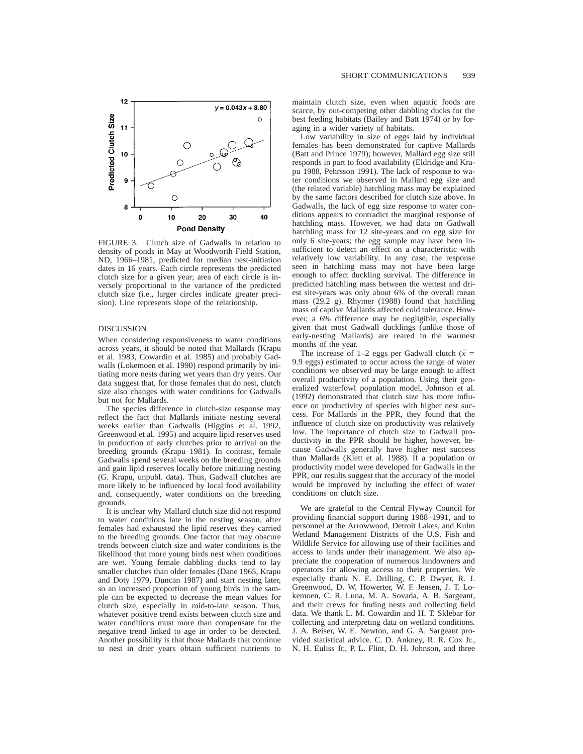

FIGURE 3. Clutch size of Gadwalls in relation to density of ponds in May at Woodworth Field Station, ND, 1966–1981, predicted for median nest-initiation dates in 16 years. Each circle represents the predicted clutch size for a given year; area of each circle is inversely proportional to the variance of the predicted clutch size (i.e., larger circles indicate greater precision). Line represents slope of the relationship.

#### DISCUSSION

When considering responsiveness to water conditions across years, it should be noted that Mallards (Krapu et al. 1983, Cowardin et al. 1985) and probably Gadwalls (Lokemoen et al. 1990) respond primarily by initiating more nests during wet years than dry years. Our data suggest that, for those females that do nest, clutch size also changes with water conditions for Gadwalls but not for Mallards.

The species difference in clutch-size response may reflect the fact that Mallards initiate nesting several weeks earlier than Gadwalls (Higgins et al. 1992, Greenwood et al. 1995) and acquire lipid reserves used in production of early clutches prior to arrival on the breeding grounds (Krapu 1981). In contrast, female Gadwalls spend several weeks on the breeding grounds and gain lipid reserves locally before initiating nesting (G. Krapu, unpubl. data). Thus, Gadwall clutches are more likely to be influenced by local food availability and, consequently, water conditions on the breeding grounds.

It is unclear why Mallard clutch size did not respond to water conditions late in the nesting season, after females had exhausted the lipid reserves they carried to the breeding grounds. One factor that may obscure trends between clutch size and water conditions is the likelihood that more young birds nest when conditions are wet. Young female dabbling ducks tend to lay smaller clutches than older females (Dane 1965, Krapu and Doty 1979, Duncan 1987) and start nesting later, so an increased proportion of young birds in the sample can be expected to decrease the mean values for clutch size, especially in mid-to-late season. Thus, whatever positive trend exists between clutch size and water conditions must more than compensate for the negative trend linked to age in order to be detected. Another possibility is that those Mallards that continue to nest in drier years obtain sufficient nutrients to maintain clutch size, even when aquatic foods are scarce, by out-competing other dabbling ducks for the best feeding habitats (Bailey and Batt 1974) or by foraging in a wider variety of habitats.

Low variability in size of eggs laid by individual females has been demonstrated for captive Mallards (Batt and Prince 1979); however, Mallard egg size still responds in part to food availability (Eldridge and Krapu 1988, Pehrsson 1991). The lack of response to water conditions we observed in Mallard egg size and (the related variable) hatchling mass may be explained by the same factors described for clutch size above. In Gadwalls, the lack of egg size response to water conditions appears to contradict the marginal response of hatchling mass. However, we had data on Gadwall hatchling mass for 12 site-years and on egg size for only 6 site-years; the egg sample may have been insufficient to detect an effect on a characteristic with relatively low variability. In any case, the response seen in hatchling mass may not have been large enough to affect duckling survival. The difference in predicted hatchling mass between the wettest and driest site-years was only about 6% of the overall mean mass (29.2 g). Rhymer (1988) found that hatchling mass of captive Mallards affected cold tolerance. However, a 6% difference may be negligible, especially given that most Gadwall ducklings (unlike those of early-nesting Mallards) are reared in the warmest months of the year.

The increase of 1–2 eggs per Gadwall clutch ( $\bar{x}$  = 9.9 eggs) estimated to occur across the range of water conditions we observed may be large enough to affect overall productivity of a population. Using their generalized waterfowl population model, Johnson et al. (1992) demonstrated that clutch size has more influence on productivity of species with higher nest success. For Mallards in the PPR, they found that the influence of clutch size on productivity was relatively low. The importance of clutch size to Gadwall productivity in the PPR should be higher, however, because Gadwalls generally have higher nest success than Mallards (Klett et al. 1988). If a population or productivity model were developed for Gadwalls in the PPR, our results suggest that the accuracy of the model would be improved by including the effect of water conditions on clutch size.

We are grateful to the Central Flyway Council for providing financial support during 1988–1991, and to personnel at the Arrowwood, Detroit Lakes, and Kulm Wetland Management Districts of the U.S. Fish and Wildlife Service for allowing use of their facilities and access to lands under their management. We also appreciate the cooperation of numerous landowners and operators for allowing access to their properties. We especially thank N. E. Drilling, C. P. Dwyer, R. J. Greenwood, D. W. Howerter, W. F. Jensen, J. T. Lokemoen, C. R. Luna, M. A. Sovada, A. B. Sargeant, and their crews for finding nests and collecting field data. We thank L. M. Cowardin and H. T. Sklebar for collecting and interpreting data on wetland conditions. J. A. Beiser, W. E. Newton, and G. A. Sargeant provided statistical advice. C. D. Ankney, R. R. Cox Jr., N. H. Euliss Jr., P. L. Flint, D. H. Johnson, and three